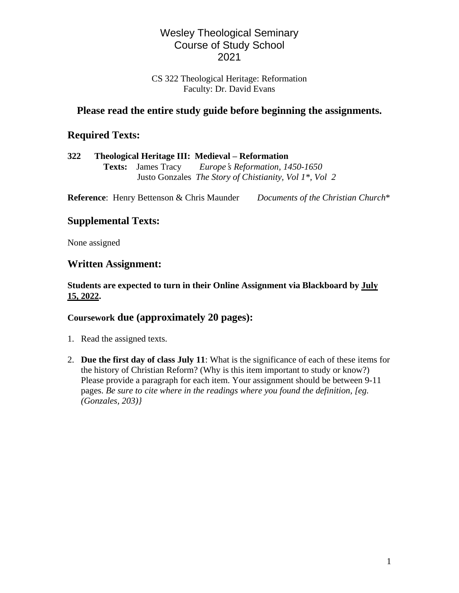# Wesley Theological Seminary Course of Study School 2021

#### CS 322 Theological Heritage: Reformation Faculty: Dr. David Evans

# **Please read the entire study guide before beginning the assignments.**

# **Required Texts:**

| 322 |  | Theological Heritage III: Medieval – Reformation                         |  |
|-----|--|--------------------------------------------------------------------------|--|
|     |  | <b>Texts:</b> James Tracy <i>Europe's Reformation, 1450-1650</i>         |  |
|     |  | Justo Gonzales <i>The Story of Chistianity, Vol 1<sup>*</sup>, Vol 2</i> |  |
|     |  |                                                                          |  |

**Reference**: Henry Bettenson & Chris Maunder *Documents of the Christian Church*\*

# **Supplemental Texts:**

None assigned

## **Written Assignment:**

#### **Students are expected to turn in their Online Assignment via Blackboard by July 15, 2022.**

## **Coursework due (approximately 20 pages):**

- 1. Read the assigned texts.
- 2. **Due the first day of class July 11**: What is the significance of each of these items for the history of Christian Reform? (Why is this item important to study or know?) Please provide a paragraph for each item. Your assignment should be between 9-11 pages. *Be sure to cite where in the readings where you found the definition, [eg. (Gonzales, 203)}*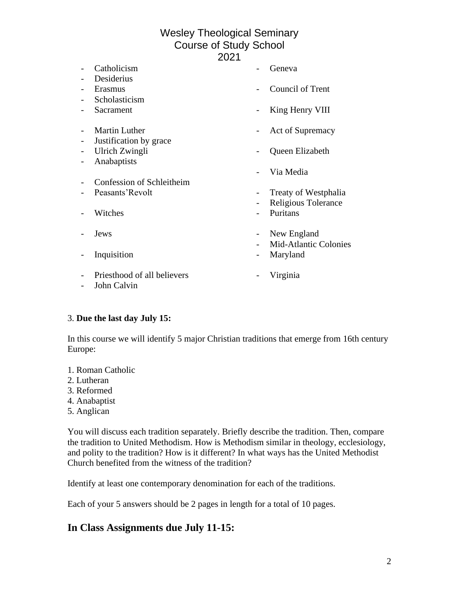# Wesley Theological Seminary Course of Study School

2021

| Catholicism                 |   | Geneva                       |
|-----------------------------|---|------------------------------|
| Desiderius                  |   |                              |
| Erasmus                     |   | Council of Trent             |
| Scholasticism               |   |                              |
| Sacrament                   |   | King Henry VIII              |
| <b>Martin Luther</b>        |   | Act of Supremacy             |
| Justification by grace      |   |                              |
| Ulrich Zwingli              |   | Queen Elizabeth              |
| Anabaptists                 |   |                              |
|                             |   | Via Media                    |
| Confession of Schleitheim   |   |                              |
| Peasants'Revolt             |   | Treaty of Westphalia         |
|                             |   | Religious Tolerance          |
| Witches                     |   | Puritans                     |
|                             |   |                              |
| Jews                        | - | New England                  |
|                             |   | <b>Mid-Atlantic Colonies</b> |
| Inquisition                 |   | Maryland                     |
|                             |   |                              |
| Priesthood of all believers |   | Virginia                     |
| John Calvin                 |   |                              |

#### 3. **Due the last day July 15:**

In this course we will identify 5 major Christian traditions that emerge from 16th century Europe:

- 1. Roman Catholic
- 2. Lutheran
- 3. Reformed
- 4. Anabaptist
- 5. Anglican

You will discuss each tradition separately. Briefly describe the tradition. Then, compare the tradition to United Methodism. How is Methodism similar in theology, ecclesiology, and polity to the tradition? How is it different? In what ways has the United Methodist Church benefited from the witness of the tradition?

Identify at least one contemporary denomination for each of the traditions.

Each of your 5 answers should be 2 pages in length for a total of 10 pages.

## **In Class Assignments due July 11-15:**